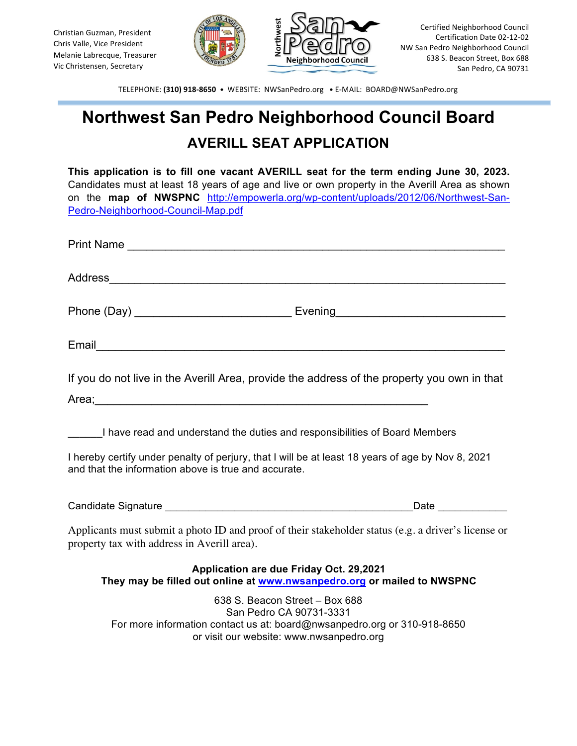

TELEPHONE: (310) 918-8650 · WEBSITE: NWSanPedro.org · E-MAIL: BOARD@NWSanPedro.org

## **Northwest San Pedro Neighborhood Council Board AVERILL SEAT APPLICATION**

| This application is to fill one vacant AVERILL seat for the term ending June 30, 2023.<br>Candidates must at least 18 years of age and live or own property in the Averill Area as shown<br>on the map of NWSPNC http://empowerla.org/wp-content/uploads/2012/06/Northwest-San-<br>Pedro-Neighborhood-Council-Map.pdf |
|-----------------------------------------------------------------------------------------------------------------------------------------------------------------------------------------------------------------------------------------------------------------------------------------------------------------------|
|                                                                                                                                                                                                                                                                                                                       |
|                                                                                                                                                                                                                                                                                                                       |
|                                                                                                                                                                                                                                                                                                                       |
|                                                                                                                                                                                                                                                                                                                       |
| If you do not live in the Averill Area, provide the address of the property you own in that                                                                                                                                                                                                                           |
| Area; and the contract of the contract of the contract of the contract of the contract of the contract of the contract of the contract of the contract of the contract of the contract of the contract of the contract of the                                                                                         |
| I have read and understand the duties and responsibilities of Board Members                                                                                                                                                                                                                                           |
| I hereby certify under penalty of perjury, that I will be at least 18 years of age by Nov 8, 2021<br>and that the information above is true and accurate.                                                                                                                                                             |
|                                                                                                                                                                                                                                                                                                                       |
| Applicants must submit a photo ID and proof of their stakeholder status (e.g. a driver's license or<br>property tax with address in Averill area).                                                                                                                                                                    |
| Application are due Friday Oct. 29,2021<br>They may be filled out online at www.nwsanpedro.org or mailed to NWSPNC                                                                                                                                                                                                    |
| 638 S. Beacon Street - Box 688<br>San Pedro CA 90731-3331<br>For more information contact us at: board@nwsanpedro.org or 310-918-8650                                                                                                                                                                                 |

or visit our website: www.nwsanpedro.org